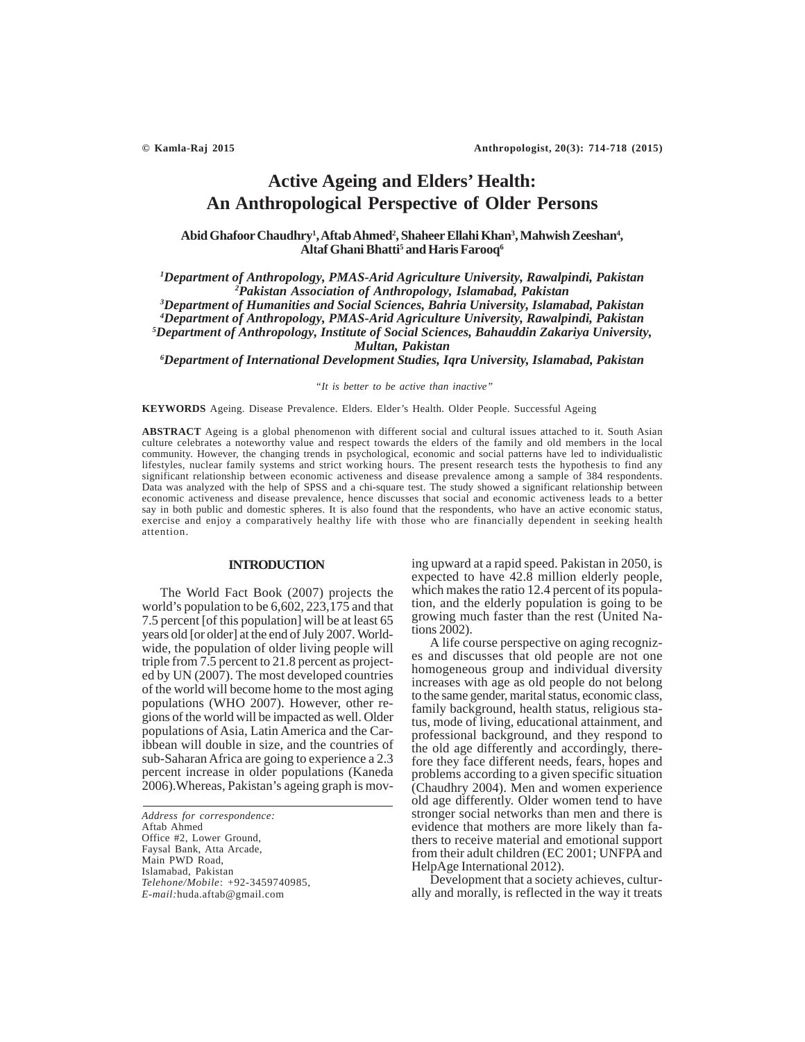# **Active Ageing and Elders' Health: An Anthropological Perspective of Older Persons**

Abid Ghafoor Chaudhry<sup>1</sup>, Aftab Ahmed<sup>2</sup>, Shaheer Ellahi Khan<sup>3</sup>, Mahwish Zeeshan<sup>4</sup>, **Altaf Ghani Bhatti5 and Haris Farooq6**

*1 Department of Anthropology, PMAS-Arid Agriculture University, Rawalpindi, Pakistan 2 Pakistan Association of Anthropology, Islamabad, Pakistan*

 *Department of Humanities and Social Sciences, Bahria University, Islamabad, Pakistan Department of Anthropology, PMAS-Arid Agriculture University, Rawalpindi, Pakistan Department of Anthropology, Institute of Social Sciences, Bahauddin Zakariya University, Multan, Pakistan*

*6 Department of International Development Studies, Iqra University, Islamabad, Pakistan*

 *"It is better to be active than inactive"*

**KEYWORDS** Ageing. Disease Prevalence. Elders. Elder's Health. Older People. Successful Ageing

**ABSTRACT** Ageing is a global phenomenon with different social and cultural issues attached to it. South Asian culture celebrates a noteworthy value and respect towards the elders of the family and old members in the local community. However, the changing trends in psychological, economic and social patterns have led to individualistic lifestyles, nuclear family systems and strict working hours. The present research tests the hypothesis to find any significant relationship between economic activeness and disease prevalence among a sample of 384 respondents. Data was analyzed with the help of SPSS and a chi-square test. The study showed a significant relationship between economic activeness and disease prevalence, hence discusses that social and economic activeness leads to a better say in both public and domestic spheres. It is also found that the respondents, who have an active economic status, exercise and enjoy a comparatively healthy life with those who are financially dependent in seeking health attention.

## **INTRODUCTION**

The World Fact Book (2007) projects the world's population to be 6,602, 223,175 and that 7.5 percent [of this population] will be at least 65 years old [or older] at the end of July 2007. Worldwide, the population of older living people will triple from 7.5 percent to 21.8 percent as projected by UN (2007). The most developed countries of the world will become home to the most aging populations (WHO 2007). However, other regions of the world will be impacted as well. Older populations of Asia, Latin America and the Caribbean will double in size, and the countries of sub-Saharan Africa are going to experience a 2.3 percent increase in older populations (Kaneda 2006).Whereas, Pakistan's ageing graph is mov-

*Address for correspondence:* Aftab Ahmed Office #2, Lower Ground, Faysal Bank, Atta Arcade, Main PWD Road, Islamabad, Pakistan *Telehone/Mobile*: +92-3459740985, *E-mail:*huda.aftab@gmail.com

ing upward at a rapid speed. Pakistan in 2050, is expected to have 42.8 million elderly people, which makes the ratio 12.4 percent of its population, and the elderly population is going to be growing much faster than the rest (United Nations 2002).

A life course perspective on aging recognizes and discusses that old people are not one homogeneous group and individual diversity increases with age as old people do not belong to the same gender, marital status, economic class, family background, health status, religious status, mode of living, educational attainment, and professional background, and they respond to the old age differently and accordingly, therefore they face different needs, fears, hopes and problems according to a given specific situation (Chaudhry 2004). Men and women experience old age differently. Older women tend to have stronger social networks than men and there is evidence that mothers are more likely than fathers to receive material and emotional support from their adult children (EC 2001; UNFPA and HelpAge International 2012).

Development that a society achieves, culturally and morally, is reflected in the way it treats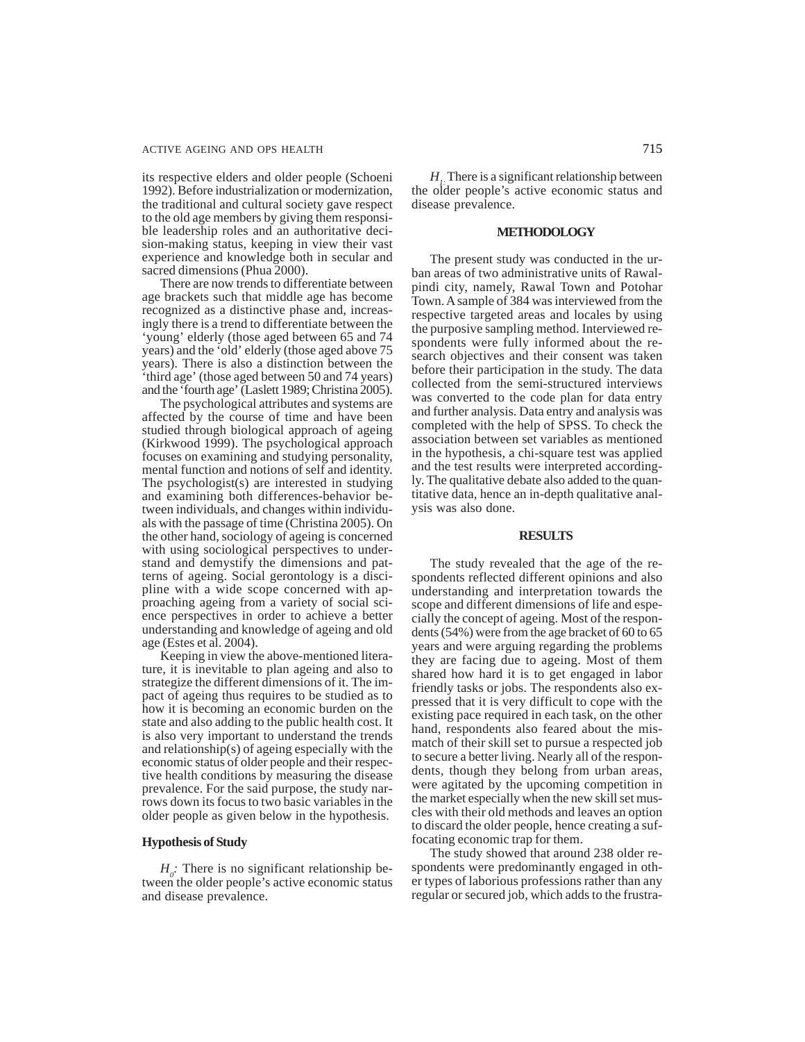its respective elders and older people (Schoeni 1992). Before industrialization or modernization, the traditional and cultural society gave respect to the old age members by giving them responsible leadership roles and an authoritative decision-making status, keeping in view their vast experience and knowledge both in secular and sacred dimensions (Phua 2000).

There are now trends to differentiate between age brackets such that middle age has become recognized as a distinctive phase and, increasingly there is a trend to differentiate between the 'young' elderly (those aged between 65 and 74 years) and the 'old' elderly (those aged above 75 years). There is also a distinction between the 'third age' (those aged between 50 and 74 years) and the 'fourth age' (Laslett 1989; Christina 2005).

The psychological attributes and systems are affected by the course of time and have been studied through biological approach of ageing (Kirkwood 1999). The psychological approach focuses on examining and studying personality, mental function and notions of self and identity. The psychologist(s) are interested in studying and examining both differences-behavior between individuals, and changes within individuals with the passage of time (Christina 2005). On the other hand, sociology of ageing is concerned with using sociological perspectives to understand and demystify the dimensions and patterns of ageing. Social gerontology is a discipline with a wide scope concerned with approaching ageing from a variety of social science perspectives in order to achieve a better understanding and knowledge of ageing and old age (Estes et al. 2004).

Keeping in view the above-mentioned literature, it is inevitable to plan ageing and also to strategize the different dimensions of it. The impact of ageing thus requires to be studied as to how it is becoming an economic burden on the state and also adding to the public health cost. It is also very important to understand the trends and relationship(s) of ageing especially with the economic status of older people and their respective health conditions by measuring the disease prevalence. For the said purpose, the study narrows down its focus to two basic variables in the older people as given below in the hypothesis.

#### **Hypothesis of Study**

 $H_0$ : There is no significant relationship between the older people's active economic status and disease prevalence.

*H*. There is a significant relationship between the older people's active economic status and disease prevalence.

#### **METHODOLOGY**

The present study was conducted in the urban areas of two administrative units of Rawalpindi city, namely, Rawal Town and Potohar Town. A sample of 384 was interviewed from the respective targeted areas and locales by using the purposive sampling method. Interviewed respondents were fully informed about the research objectives and their consent was taken before their participation in the study. The data collected from the semi-structured interviews was converted to the code plan for data entry and further analysis. Data entry and analysis was completed with the help of SPSS. To check the association between set variables as mentioned in the hypothesis, a chi-square test was applied and the test results were interpreted accordingly. The qualitative debate also added to the quantitative data, hence an in-depth qualitative analysis was also done.

#### **RESULTS**

The study revealed that the age of the respondents reflected different opinions and also understanding and interpretation towards the scope and different dimensions of life and especially the concept of ageing. Most of the respondents (54%) were from the age bracket of 60 to 65 years and were arguing regarding the problems they are facing due to ageing. Most of them shared how hard it is to get engaged in labor friendly tasks or jobs. The respondents also expressed that it is very difficult to cope with the existing pace required in each task, on the other hand, respondents also feared about the mismatch of their skill set to pursue a respected job to secure a better living. Nearly all of the respondents, though they belong from urban areas, were agitated by the upcoming competition in the market especially when the new skill set muscles with their old methods and leaves an option to discard the older people, hence creating a suffocating economic trap for them.

The study showed that around 238 older respondents were predominantly engaged in other types of laborious professions rather than any regular or secured job, which adds to the frustra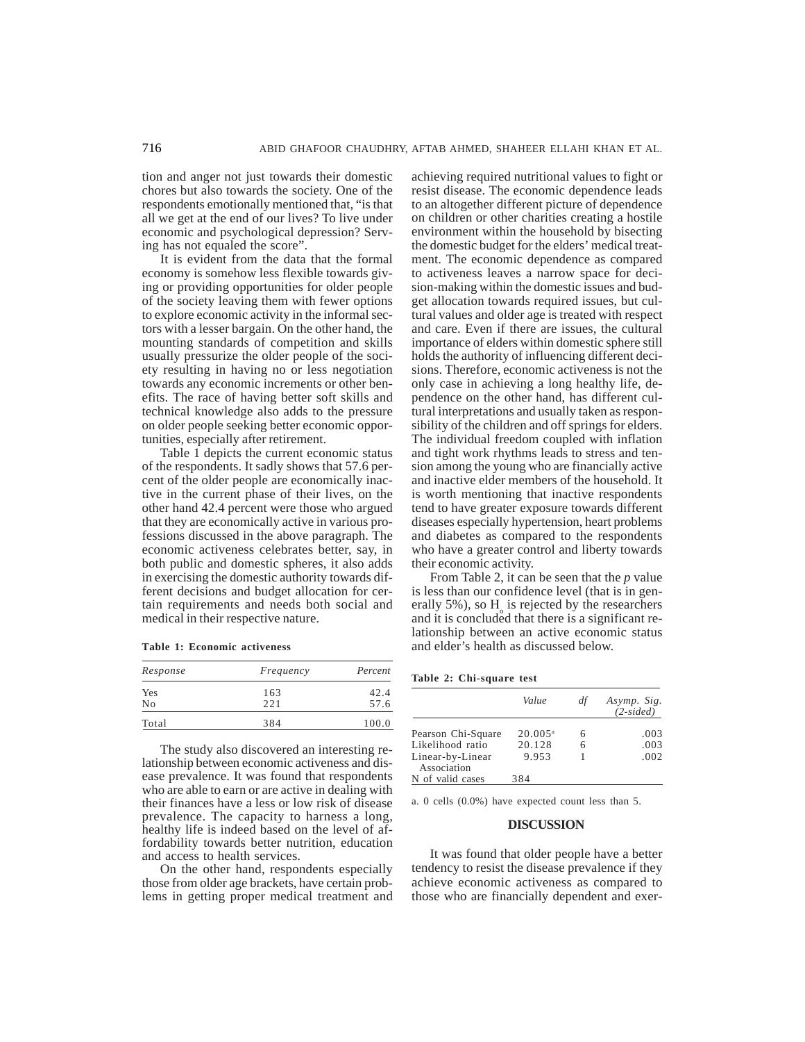tion and anger not just towards their domestic chores but also towards the society. One of the respondents emotionally mentioned that, "is that all we get at the end of our lives? To live under economic and psychological depression? Serving has not equaled the score".

It is evident from the data that the formal economy is somehow less flexible towards giving or providing opportunities for older people of the society leaving them with fewer options to explore economic activity in the informal sectors with a lesser bargain. On the other hand, the mounting standards of competition and skills usually pressurize the older people of the society resulting in having no or less negotiation towards any economic increments or other benefits. The race of having better soft skills and technical knowledge also adds to the pressure on older people seeking better economic opportunities, especially after retirement.

Table 1 depicts the current economic status of the respondents. It sadly shows that 57.6 percent of the older people are economically inactive in the current phase of their lives, on the other hand 42.4 percent were those who argued that they are economically active in various professions discussed in the above paragraph. The economic activeness celebrates better, say, in both public and domestic spheres, it also adds in exercising the domestic authority towards different decisions and budget allocation for certain requirements and needs both social and medical in their respective nature.

| Table 1: Economic activeness |  |  |  |  |
|------------------------------|--|--|--|--|
|------------------------------|--|--|--|--|

| Frequency | Percent |  |
|-----------|---------|--|
| 163       | 42.4    |  |
| 22.1      | 57.6    |  |
| 384       | 100.0   |  |
|           |         |  |

The study also discovered an interesting relationship between economic activeness and disease prevalence. It was found that respondents who are able to earn or are active in dealing with their finances have a less or low risk of disease prevalence. The capacity to harness a long, healthy life is indeed based on the level of affordability towards better nutrition, education and access to health services.

On the other hand, respondents especially those from older age brackets, have certain problems in getting proper medical treatment and achieving required nutritional values to fight or resist disease. The economic dependence leads to an altogether different picture of dependence on children or other charities creating a hostile environment within the household by bisecting the domestic budget for the elders' medical treatment. The economic dependence as compared to activeness leaves a narrow space for decision-making within the domestic issues and budget allocation towards required issues, but cultural values and older age is treated with respect and care. Even if there are issues, the cultural importance of elders within domestic sphere still holds the authority of influencing different decisions. Therefore, economic activeness is not the only case in achieving a long healthy life, dependence on the other hand, has different cultural interpretations and usually taken as responsibility of the children and off springs for elders. The individual freedom coupled with inflation and tight work rhythms leads to stress and tension among the young who are financially active and inactive elder members of the household. It is worth mentioning that inactive respondents tend to have greater exposure towards different diseases especially hypertension, heart problems and diabetes as compared to the respondents who have a greater control and liberty towards their economic activity.

From Table 2, it can be seen that the *p* value is less than our confidence level (that is in generally 5%), so  $H_0$  is rejected by the researchers and it is concluded that there is a significant relationship between an active economic status and elder's health as discussed below.

**Table 2: Chi-square test**

|                                 | Value               | df | Asymp. Sig.<br>$(2-sided)$ |
|---------------------------------|---------------------|----|----------------------------|
| Pearson Chi-Square              | $20.005^{\text{a}}$ |    | .003                       |
| Likelihood ratio                | 20.128              | 6  | .003                       |
| Linear-by-Linear<br>Association | 9.953               |    | .002                       |
| N of valid cases                | 384                 |    |                            |

a. 0 cells (0.0%) have expected count less than 5.

#### **DISCUSSION**

It was found that older people have a better tendency to resist the disease prevalence if they achieve economic activeness as compared to those who are financially dependent and exer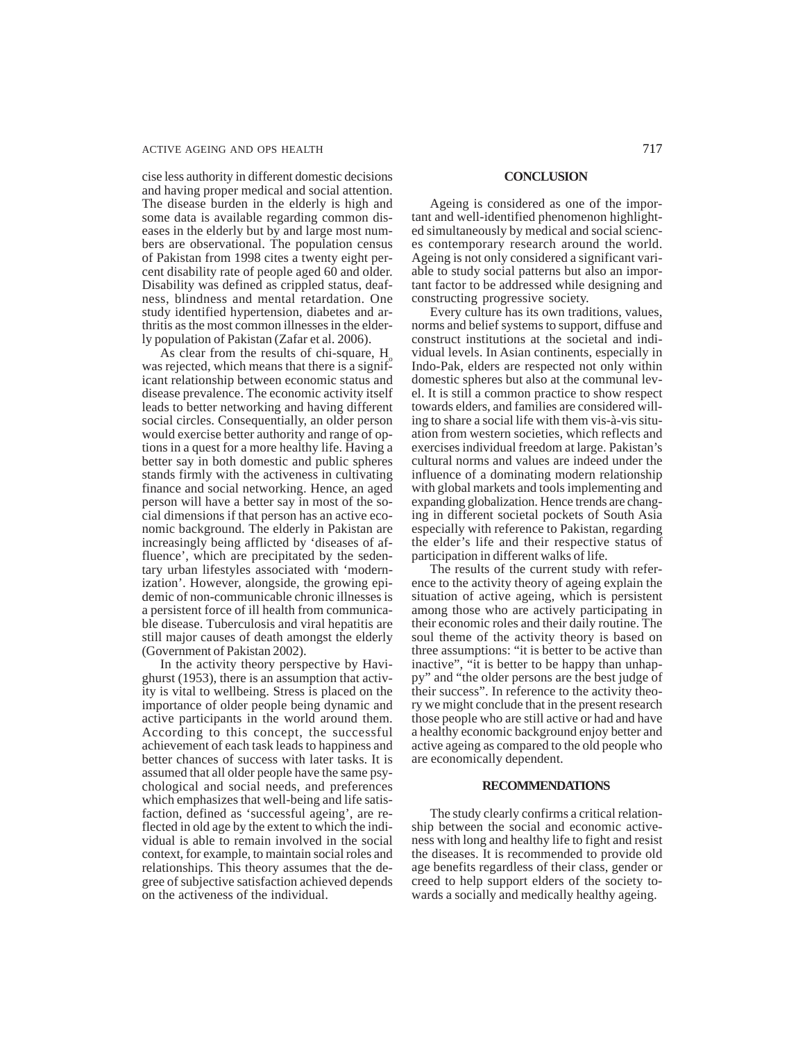cise less authority in different domestic decisions and having proper medical and social attention. The disease burden in the elderly is high and some data is available regarding common diseases in the elderly but by and large most numbers are observational. The population census of Pakistan from 1998 cites a twenty eight percent disability rate of people aged 60 and older. Disability was defined as crippled status, deafness, blindness and mental retardation. One study identified hypertension, diabetes and arthritis as the most common illnesses in the elderly population of Pakistan (Zafar et al. 2006).

As clear from the results of chi-square,  $H_1$ was rejected, which means that there is a significant relationship between economic status and disease prevalence. The economic activity itself leads to better networking and having different social circles. Consequentially, an older person would exercise better authority and range of options in a quest for a more healthy life. Having a better say in both domestic and public spheres stands firmly with the activeness in cultivating finance and social networking. Hence, an aged person will have a better say in most of the social dimensions if that person has an active economic background. The elderly in Pakistan are increasingly being afflicted by 'diseases of affluence', which are precipitated by the sedentary urban lifestyles associated with 'modernization'. However, alongside, the growing epidemic of non-communicable chronic illnesses is a persistent force of ill health from communicable disease. Tuberculosis and viral hepatitis are still major causes of death amongst the elderly (Government of Pakistan 2002).

In the activity theory perspective by Havighurst (1953), there is an assumption that activity is vital to wellbeing. Stress is placed on the importance of older people being dynamic and active participants in the world around them. According to this concept, the successful achievement of each task leads to happiness and better chances of success with later tasks. It is assumed that all older people have the same psychological and social needs, and preferences which emphasizes that well-being and life satisfaction, defined as 'successful ageing', are reflected in old age by the extent to which the individual is able to remain involved in the social context, for example, to maintain social roles and relationships. This theory assumes that the degree of subjective satisfaction achieved depends on the activeness of the individual.

#### **CONCLUSION**

Ageing is considered as one of the important and well-identified phenomenon highlighted simultaneously by medical and social sciences contemporary research around the world. Ageing is not only considered a significant variable to study social patterns but also an important factor to be addressed while designing and constructing progressive society.

Every culture has its own traditions, values, norms and belief systems to support, diffuse and construct institutions at the societal and individual levels. In Asian continents, especially in Indo-Pak, elders are respected not only within domestic spheres but also at the communal level. It is still a common practice to show respect towards elders, and families are considered willing to share a social life with them vis-à-vis situation from western societies, which reflects and exercises individual freedom at large. Pakistan's cultural norms and values are indeed under the influence of a dominating modern relationship with global markets and tools implementing and expanding globalization. Hence trends are changing in different societal pockets of South Asia especially with reference to Pakistan, regarding the elder's life and their respective status of participation in different walks of life.

The results of the current study with reference to the activity theory of ageing explain the situation of active ageing, which is persistent among those who are actively participating in their economic roles and their daily routine. The soul theme of the activity theory is based on three assumptions: "it is better to be active than inactive", "it is better to be happy than unhappy" and "the older persons are the best judge of their success". In reference to the activity theory we might conclude that in the present research those people who are still active or had and have a healthy economic background enjoy better and active ageing as compared to the old people who are economically dependent.

### **RECOMMENDATIONS**

The study clearly confirms a critical relationship between the social and economic activeness with long and healthy life to fight and resist the diseases. It is recommended to provide old age benefits regardless of their class, gender or creed to help support elders of the society towards a socially and medically healthy ageing.